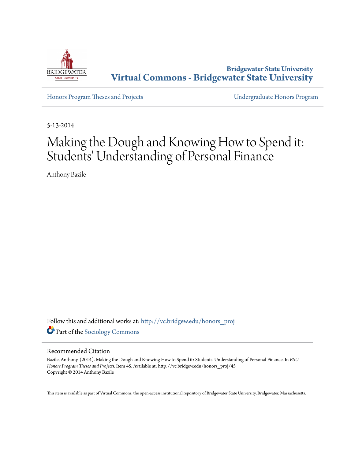

**Bridgewater State University [Virtual Commons - Bridgewater State University](http://vc.bridgew.edu?utm_source=vc.bridgew.edu%2Fhonors_proj%2F45&utm_medium=PDF&utm_campaign=PDFCoverPages)**

[Honors Program Theses and Projects](http://vc.bridgew.edu/honors_proj?utm_source=vc.bridgew.edu%2Fhonors_proj%2F45&utm_medium=PDF&utm_campaign=PDFCoverPages) [Undergraduate Honors Program](http://vc.bridgew.edu/honors?utm_source=vc.bridgew.edu%2Fhonors_proj%2F45&utm_medium=PDF&utm_campaign=PDFCoverPages)

5-13-2014

# Making the Dough and Knowing How to Spend it: Students' Understanding of Personal Finance

Anthony Bazile

Follow this and additional works at: [http://vc.bridgew.edu/honors\\_proj](http://vc.bridgew.edu/honors_proj?utm_source=vc.bridgew.edu%2Fhonors_proj%2F45&utm_medium=PDF&utm_campaign=PDFCoverPages) Part of the [Sociology Commons](http://network.bepress.com/hgg/discipline/416?utm_source=vc.bridgew.edu%2Fhonors_proj%2F45&utm_medium=PDF&utm_campaign=PDFCoverPages)

## Recommended Citation

Bazile, Anthony. (2014). Making the Dough and Knowing How to Spend it: Students' Understanding of Personal Finance. In *BSU Honors Program Theses and Projects.* Item 45. Available at: http://vc.bridgew.edu/honors\_proj/45 Copyright © 2014 Anthony Bazile

This item is available as part of Virtual Commons, the open-access institutional repository of Bridgewater State University, Bridgewater, Massachusetts.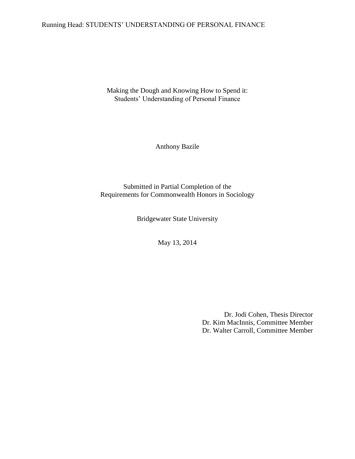## Running Head: STUDENTS' UNDERSTANDING OF PERSONAL FINANCE

Making the Dough and Knowing How to Spend it: Students' Understanding of Personal Finance

Anthony Bazile

Submitted in Partial Completion of the Requirements for Commonwealth Honors in Sociology

Bridgewater State University

May 13, 2014

Dr. Jodi Cohen, Thesis Director Dr. Kim MacInnis, Committee Member Dr. Walter Carroll, Committee Member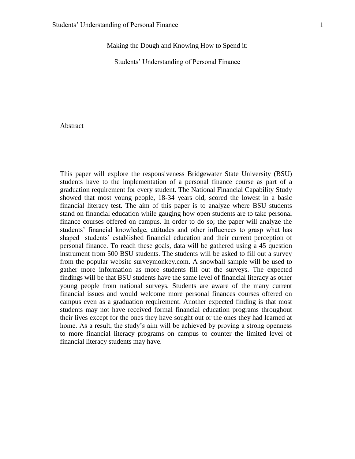Making the Dough and Knowing How to Spend it:

Students' Understanding of Personal Finance

## Abstract

This paper will explore the responsiveness Bridgewater State University (BSU) students have to the implementation of a personal finance course as part of a graduation requirement for every student. The National Financial Capability Study showed that most young people, 18-34 years old, scored the lowest in a basic financial literacy test. The aim of this paper is to analyze where BSU students stand on financial education while gauging how open students are to take personal finance courses offered on campus. In order to do so; the paper will analyze the students' financial knowledge, attitudes and other influences to grasp what has shaped students' established financial education and their current perception of personal finance. To reach these goals, data will be gathered using a 45 question instrument from 500 BSU students. The students will be asked to fill out a survey from the popular website surveymonkey.com. A snowball sample will be used to gather more information as more students fill out the surveys. The expected findings will be that BSU students have the same level of financial literacy as other young people from national surveys. Students are aware of the many current financial issues and would welcome more personal finances courses offered on campus even as a graduation requirement. Another expected finding is that most students may not have received formal financial education programs throughout their lives except for the ones they have sought out or the ones they had learned at home. As a result, the study's aim will be achieved by proving a strong openness to more financial literacy programs on campus to counter the limited level of financial literacy students may have.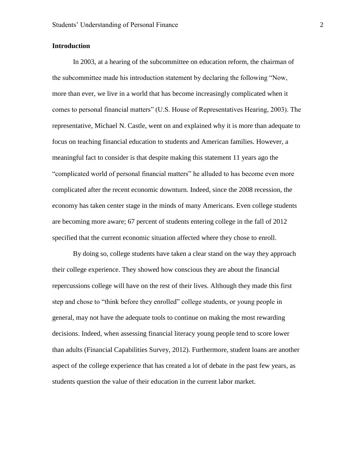## **Introduction**

In 2003, at a hearing of the subcommittee on education reform, the chairman of the subcommittee made his introduction statement by declaring the following "Now, more than ever, we live in a world that has become increasingly complicated when it comes to personal financial matters" (U.S. House of Representatives Hearing, 2003). The representative, Michael N. Castle, went on and explained why it is more than adequate to focus on teaching financial education to students and American families. However, a meaningful fact to consider is that despite making this statement 11 years ago the "complicated world of personal financial matters" he alluded to has become even more complicated after the recent economic downturn. Indeed, since the 2008 recession, the economy has taken center stage in the minds of many Americans. Even college students are becoming more aware; 67 percent of students entering college in the fall of 2012 specified that the current economic situation affected where they chose to enroll.

By doing so, college students have taken a clear stand on the way they approach their college experience. They showed how conscious they are about the financial repercussions college will have on the rest of their lives. Although they made this first step and chose to "think before they enrolled" college students, or young people in general, may not have the adequate tools to continue on making the most rewarding decisions. Indeed, when assessing financial literacy young people tend to score lower than adults (Financial Capabilities Survey, 2012). Furthermore, student loans are another aspect of the college experience that has created a lot of debate in the past few years, as students question the value of their education in the current labor market.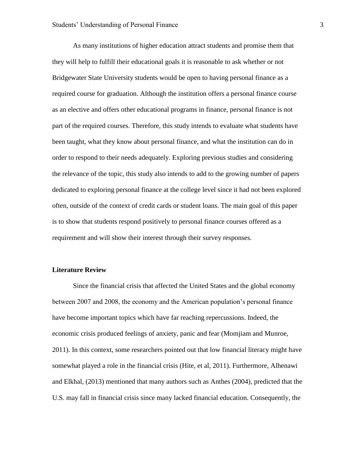As many institutions of higher education attract students and promise them that they will help to fulfill their educational goals it is reasonable to ask whether or not Bridgewater State University students would be open to having personal finance as a required course for graduation. Although the institution offers a personal finance course as an elective and offers other educational programs in finance, personal finance is not part of the required courses. Therefore, this study intends to evaluate what students have been taught, what they know about personal finance, and what the institution can do in order to respond to their needs adequately. Exploring previous studies and considering the relevance of the topic, this study also intends to add to the growing number of papers dedicated to exploring personal finance at the college level since it had not been explored often, outside of the context of credit cards or student loans. The main goal of this paper is to show that students respond positively to personal finance courses offered as a requirement and will show their interest through their survey responses.

#### **Literature Review**

Since the financial crisis that affected the United States and the global economy between 2007 and 2008, the economy and the American population's personal finance have become important topics which have far reaching repercussions. Indeed, the economic crisis produced feelings of anxiety, panic and fear (Momjiam and Munroe, 2011). In this context, some researchers pointed out that low financial literacy might have somewhat played a role in the financial crisis (Hite, et al, 2011). Furthermore, Alhenawi and Elkhal, (2013) mentioned that many authors such as Anthes (2004), predicted that the U.S. may fall in financial crisis since many lacked financial education. Consequently, the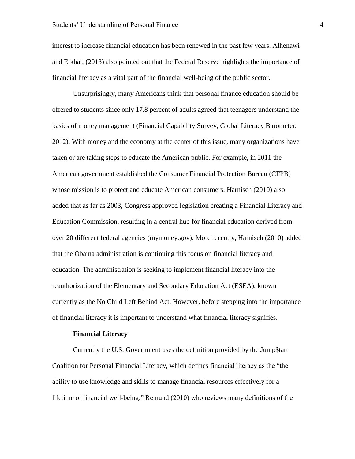interest to increase financial education has been renewed in the past few years. Alhenawi and Elkhal, (2013) also pointed out that the Federal Reserve highlights the importance of financial literacy as a vital part of the financial well-being of the public sector.

Unsurprisingly, many Americans think that personal finance education should be offered to students since only 17.8 percent of adults agreed that teenagers understand the basics of money management (Financial Capability Survey, Global Literacy Barometer, 2012). With money and the economy at the center of this issue, many organizations have taken or are taking steps to educate the American public. For example, in 2011 the American government established the Consumer Financial Protection Bureau (CFPB) whose mission is to protect and educate American consumers. Harnisch (2010) also added that as far as 2003, Congress approved legislation creating a Financial Literacy and Education Commission, resulting in a central hub for financial education derived from over 20 different federal agencies (mymoney.gov). More recently, Harnisch (2010) added that the Obama administration is continuing this focus on financial literacy and education. The administration is seeking to implement financial literacy into the reauthorization of the Elementary and Secondary Education Act (ESEA), known currently as the No Child Left Behind Act. However, before stepping into the importance of financial literacy it is important to understand what financial literacy signifies.

#### **Financial Literacy**

Currently the U.S. Government uses the definition provided by the Jump\$tart Coalition for Personal Financial Literacy, which defines financial literacy as the "the ability to use knowledge and skills to manage financial resources effectively for a lifetime of financial well-being." Remund (2010) who reviews many definitions of the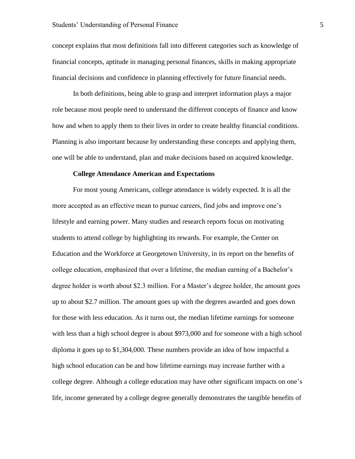concept explains that most definitions fall into different categories such as knowledge of financial concepts, aptitude in managing personal finances, skills in making appropriate financial decisions and confidence in planning effectively for future financial needs.

In both definitions, being able to grasp and interpret information plays a major role because most people need to understand the different concepts of finance and know how and when to apply them to their lives in order to create healthy financial conditions. Planning is also important because by understanding these concepts and applying them, one will be able to understand, plan and make decisions based on acquired knowledge.

## **College Attendance American and Expectations**

For most young Americans, college attendance is widely expected. It is all the more accepted as an effective mean to pursue careers, find jobs and improve one's lifestyle and earning power. Many studies and research reports focus on motivating students to attend college by highlighting its rewards. For example, the Center on Education and the Workforce at Georgetown University, in its report on the benefits of college education, emphasized that over a lifetime, the median earning of a Bachelor's degree holder is worth about \$2.3 million. For a Master's degree holder, the amount goes up to about \$2.7 million. The amount goes up with the degrees awarded and goes down for those with less education. As it turns out, the median lifetime earnings for someone with less than a high school degree is about \$973,000 and for someone with a high school diploma it goes up to \$1,304,000. These numbers provide an idea of how impactful a high school education can be and how lifetime earnings may increase further with a college degree. Although a college education may have other significant impacts on one's life, income generated by a college degree generally demonstrates the tangible benefits of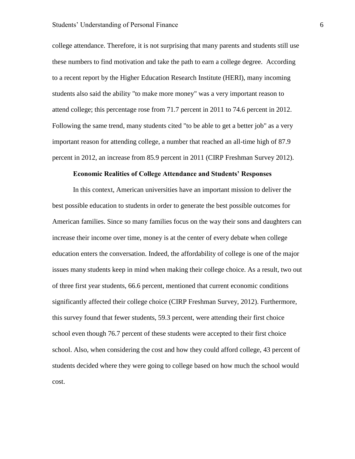college attendance. Therefore, it is not surprising that many parents and students still use these numbers to find motivation and take the path to earn a college degree. According to a recent report by the Higher Education Research Institute (HERI), many incoming students also said the ability "to make more money" was a very important reason to attend college; this percentage rose from 71.7 percent in 2011 to 74.6 percent in 2012. Following the same trend, many students cited "to be able to get a better job" as a very important reason for attending college, a number that reached an all-time high of 87.9 percent in 2012, an increase from 85.9 percent in 2011 (CIRP Freshman Survey 2012).

## **Economic Realities of College Attendance and Students' Responses**

In this context, American universities have an important mission to deliver the best possible education to students in order to generate the best possible outcomes for American families. Since so many families focus on the way their sons and daughters can increase their income over time, money is at the center of every debate when college education enters the conversation. Indeed, the affordability of college is one of the major issues many students keep in mind when making their college choice. As a result, two out of three first year students, 66.6 percent, mentioned that current economic conditions significantly affected their college choice (CIRP Freshman Survey, 2012). Furthermore, this survey found that fewer students, 59.3 percent, were attending their first choice school even though 76.7 percent of these students were accepted to their first choice school. Also, when considering the cost and how they could afford college, 43 percent of students decided where they were going to college based on how much the school would cost.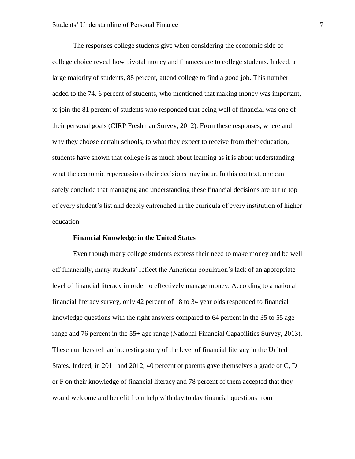The responses college students give when considering the economic side of college choice reveal how pivotal money and finances are to college students. Indeed, a large majority of students, 88 percent, attend college to find a good job. This number added to the 74. 6 percent of students, who mentioned that making money was important, to join the 81 percent of students who responded that being well of financial was one of their personal goals (CIRP Freshman Survey, 2012). From these responses, where and why they choose certain schools, to what they expect to receive from their education, students have shown that college is as much about learning as it is about understanding what the economic repercussions their decisions may incur. In this context, one can safely conclude that managing and understanding these financial decisions are at the top of every student's list and deeply entrenched in the curricula of every institution of higher education.

### **Financial Knowledge in the United States**

Even though many college students express their need to make money and be well off financially, many students' reflect the American population's lack of an appropriate level of financial literacy in order to effectively manage money. According to a national financial literacy survey, only 42 percent of 18 to 34 year olds responded to financial knowledge questions with the right answers compared to 64 percent in the 35 to 55 age range and 76 percent in the 55+ age range (National Financial Capabilities Survey, 2013). These numbers tell an interesting story of the level of financial literacy in the United States. Indeed, in 2011 and 2012, 40 percent of parents gave themselves a grade of C, D or F on their knowledge of financial literacy and 78 percent of them accepted that they would welcome and benefit from help with day to day financial questions from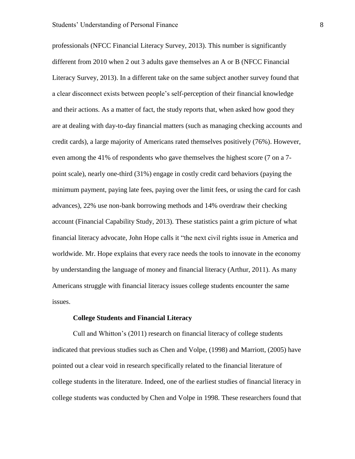professionals (NFCC Financial Literacy Survey, 2013). This number is significantly different from 2010 when 2 out 3 adults gave themselves an A or B (NFCC Financial Literacy Survey, 2013). In a different take on the same subject another survey found that a clear disconnect exists between people's self-perception of their financial knowledge and their actions. As a matter of fact, the study reports that, when asked how good they are at dealing with day-to-day financial matters (such as managing checking accounts and credit cards), a large majority of Americans rated themselves positively (76%). However, even among the 41% of respondents who gave themselves the highest score (7 on a 7 point scale), nearly one-third (31%) engage in costly credit card behaviors (paying the minimum payment, paying late fees, paying over the limit fees, or using the card for cash advances), 22% use non-bank borrowing methods and 14% overdraw their checking account (Financial Capability Study, 2013). These statistics paint a grim picture of what financial literacy advocate, John Hope calls it "the next civil rights issue in America and worldwide. Mr. Hope explains that every race needs the tools to innovate in the economy by understanding the language of money and financial literacy (Arthur, 2011). As many Americans struggle with financial literacy issues college students encounter the same issues.

## **College Students and Financial Literacy**

Cull and Whitton's (2011) research on financial literacy of college students indicated that previous studies such as Chen and Volpe, (1998) and Marriott, (2005) have pointed out a clear void in research specifically related to the financial literature of college students in the literature. Indeed, one of the earliest studies of financial literacy in college students was conducted by Chen and Volpe in 1998. These researchers found that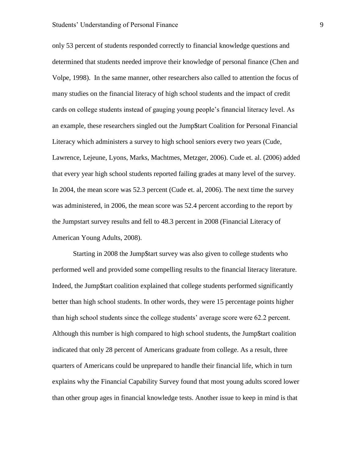only 53 percent of students responded correctly to financial knowledge questions and determined that students needed improve their knowledge of personal finance (Chen and Volpe, 1998). In the same manner, other researchers also called to attention the focus of many studies on the financial literacy of high school students and the impact of credit cards on college students instead of gauging young people's financial literacy level. As an example, these researchers singled out the Jump\$tart Coalition for Personal Financial Literacy which administers a survey to high school seniors every two years (Cude, Lawrence, Lejeune, Lyons, Marks, Machtmes, Metzger, 2006). Cude et. al. (2006) added that every year high school students reported failing grades at many level of the survey. In 2004, the mean score was 52.3 percent (Cude et. al, 2006). The next time the survey was administered, in 2006, the mean score was 52.4 percent according to the report by the Jumpstart survey results and fell to 48.3 percent in 2008 (Financial Literacy of American Young Adults, 2008).

Starting in 2008 the Jump\$tart survey was also given to college students who performed well and provided some compelling results to the financial literacy literature. Indeed, the Jump\$tart coalition explained that college students performed significantly better than high school students. In other words, they were 15 percentage points higher than high school students since the college students' average score were 62.2 percent. Although this number is high compared to high school students, the Jump\$tart coalition indicated that only 28 percent of Americans graduate from college. As a result, three quarters of Americans could be unprepared to handle their financial life, which in turn explains why the Financial Capability Survey found that most young adults scored lower than other group ages in financial knowledge tests. Another issue to keep in mind is that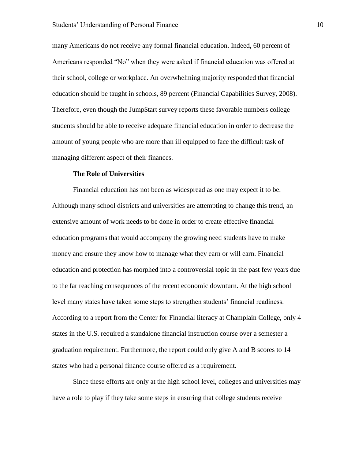many Americans do not receive any formal financial education. Indeed, 60 percent of Americans responded "No" when they were asked if financial education was offered at their school, college or workplace. An overwhelming majority responded that financial education should be taught in schools, 89 percent (Financial Capabilities Survey, 2008). Therefore, even though the Jump\$tart survey reports these favorable numbers college students should be able to receive adequate financial education in order to decrease the amount of young people who are more than ill equipped to face the difficult task of managing different aspect of their finances.

## **The Role of Universities**

Financial education has not been as widespread as one may expect it to be. Although many school districts and universities are attempting to change this trend, an extensive amount of work needs to be done in order to create effective financial education programs that would accompany the growing need students have to make money and ensure they know how to manage what they earn or will earn. Financial education and protection has morphed into a controversial topic in the past few years due to the far reaching consequences of the recent economic downturn. At the high school level many states have taken some steps to strengthen students' financial readiness. According to a report from the Center for Financial literacy at Champlain College, only 4 states in the U.S. required a standalone financial instruction course over a semester a graduation requirement. Furthermore, the report could only give A and B scores to 14 states who had a personal finance course offered as a requirement.

Since these efforts are only at the high school level, colleges and universities may have a role to play if they take some steps in ensuring that college students receive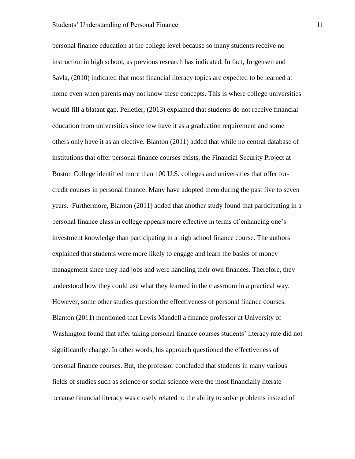personal finance education at the college level because so many students receive no instruction in high school, as previous research has indicated. In fact, Jorgensen and Savla, (2010) indicated that most financial literacy topics are expected to be learned at home even when parents may not know these concepts. This is where college universities would fill a blatant gap. Pelletier, (2013) explained that students do not receive financial education from universities since few have it as a graduation requirement and some others only have it as an elective. Blanton (2011) added that while no central database of institutions that offer personal finance courses exists, the Financial Security Project at Boston College identified more than 100 U.S. colleges and universities that offer forcredit courses in personal finance. Many have adopted them during the past five to seven years. Furthermore, Blanton (2011) added that another study found that participating in a personal finance class in college appears more effective in terms of enhancing one's investment knowledge than participating in a high school finance course. The authors explained that students were more likely to engage and learn the basics of money management since they had jobs and were handling their own finances. Therefore, they understood how they could use what they learned in the classroom in a practical way. However, some other studies question the effectiveness of personal finance courses. Blanton (2011) mentioned that Lewis Mandell a finance professor at University of Washington found that after taking personal finance courses students' literacy rate did not significantly change. In other words, his approach questioned the effectiveness of personal finance courses. But, the professor concluded that students in many various fields of studies such as science or social science were the most financially literate because financial literacy was closely related to the ability to solve problems instead of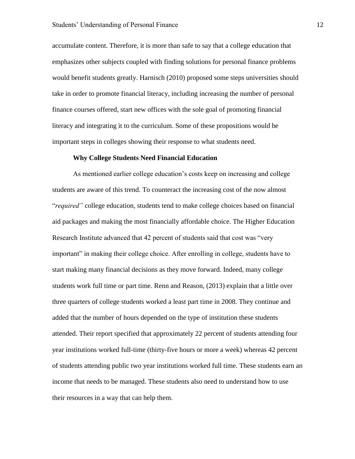accumulate content. Therefore, it is more than safe to say that a college education that emphasizes other subjects coupled with finding solutions for personal finance problems would benefit students greatly. Harnisch (2010) proposed some steps universities should take in order to promote financial literacy, including increasing the number of personal finance courses offered, start new offices with the sole goal of promoting financial literacy and integrating it to the curriculum. Some of these propositions would be important steps in colleges showing their response to what students need.

## **Why College Students Need Financial Education**

As mentioned earlier college education's costs keep on increasing and college students are aware of this trend. To counteract the increasing cost of the now almost "*required"* college education, students tend to make college choices based on financial aid packages and making the most financially affordable choice. The Higher Education Research Institute advanced that 42 percent of students said that cost was "very important" in making their college choice. After enrolling in college, students have to start making many financial decisions as they move forward. Indeed, many college students work full time or part time. Renn and Reason, (2013) explain that a little over three quarters of college students worked a least part time in 2008. They continue and added that the number of hours depended on the type of institution these students attended. Their report specified that approximately 22 percent of students attending four year institutions worked full-time (thirty-five hours or more a week) whereas 42 percent of students attending public two year institutions worked full time. These students earn an income that needs to be managed. These students also need to understand how to use their resources in a way that can help them.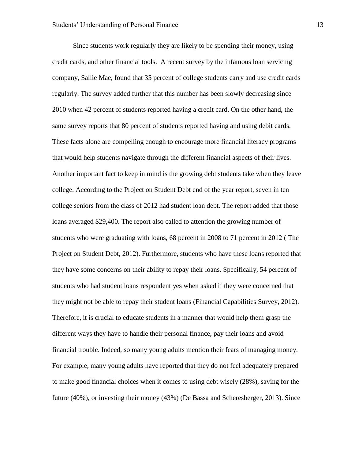Since students work regularly they are likely to be spending their money, using credit cards, and other financial tools. A recent survey by the infamous loan servicing company, Sallie Mae, found that 35 percent of college students carry and use credit cards regularly. The survey added further that this number has been slowly decreasing since 2010 when 42 percent of students reported having a credit card. On the other hand, the same survey reports that 80 percent of students reported having and using debit cards. These facts alone are compelling enough to encourage more financial literacy programs that would help students navigate through the different financial aspects of their lives. Another important fact to keep in mind is the growing debt students take when they leave college. According to the Project on Student Debt end of the year report, seven in ten college seniors from the class of 2012 had student loan debt. The report added that those loans averaged \$29,400. The report also called to attention the growing number of students who were graduating with loans, 68 percent in 2008 to 71 percent in 2012 ( The Project on Student Debt, 2012). Furthermore, students who have these loans reported that they have some concerns on their ability to repay their loans. Specifically, 54 percent of students who had student loans respondent yes when asked if they were concerned that they might not be able to repay their student loans (Financial Capabilities Survey, 2012). Therefore, it is crucial to educate students in a manner that would help them grasp the different ways they have to handle their personal finance, pay their loans and avoid financial trouble. Indeed, so many young adults mention their fears of managing money. For example, many young adults have reported that they do not feel adequately prepared to make good financial choices when it comes to using debt wisely (28%), saving for the future (40%), or investing their money (43%) (De Bassa and Scheresberger, 2013). Since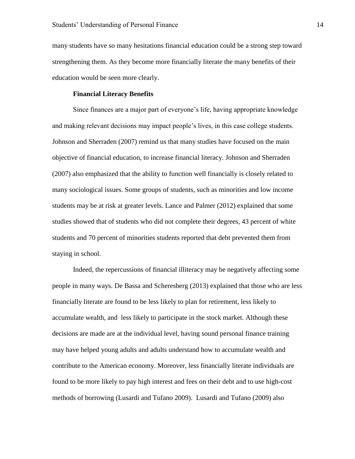many students have so many hesitations financial education could be a strong step toward strengthening them. As they become more financially literate the many benefits of their education would be seen more clearly.

## **Financial Literacy Benefits**

Since finances are a major part of everyone's life, having appropriate knowledge and making relevant decisions may impact people's lives, in this case college students. Johnson and Sherraden (2007) remind us that many studies have focused on the main objective of financial education, to increase financial literacy. Johnson and Sherraden (2007) also emphasized that the ability to function well financially is closely related to many sociological issues. Some groups of students, such as minorities and low income students may be at risk at greater levels. Lance and Palmer (2012) explained that some studies showed that of students who did not complete their degrees, 43 percent of white students and 70 percent of minorities students reported that debt prevented them from staying in school.

Indeed, the repercussions of financial illiteracy may be negatively affecting some people in many ways. De Bassa and Scheresberg (2013) explained that those who are less financially literate are found to be less likely to plan for retirement, less likely to accumulate wealth, and less likely to participate in the stock market. Although these decisions are made are at the individual level, having sound personal finance training may have helped young adults and adults understand how to accumulate wealth and contribute to the American economy. Moreover, less financially literate individuals are found to be more likely to pay high interest and fees on their debt and to use high-cost methods of borrowing (Lusardi and Tufano 2009). Lusardi and Tufano (2009) also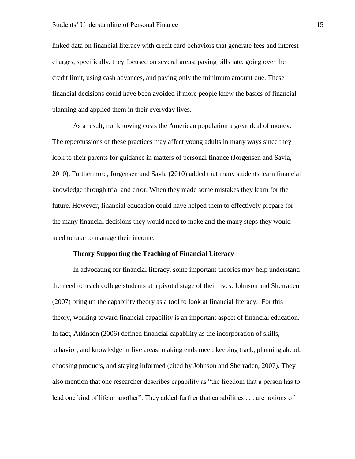linked data on financial literacy with credit card behaviors that generate fees and interest charges, specifically, they focused on several areas: paying bills late, going over the credit limit, using cash advances, and paying only the minimum amount due. These financial decisions could have been avoided if more people knew the basics of financial planning and applied them in their everyday lives.

As a result, not knowing costs the American population a great deal of money. The repercussions of these practices may affect young adults in many ways since they look to their parents for guidance in matters of personal finance (Jorgensen and Savla, 2010). Furthermore, Jorgensen and Savla (2010) added that many students learn financial knowledge through trial and error. When they made some mistakes they learn for the future. However, financial education could have helped them to effectively prepare for the many financial decisions they would need to make and the many steps they would need to take to manage their income.

## **Theory Supporting the Teaching of Financial Literacy**

In advocating for financial literacy, some important theories may help understand the need to reach college students at a pivotal stage of their lives. Johnson and Sherraden (2007) bring up the capability theory as a tool to look at financial literacy. For this theory, working toward financial capability is an important aspect of financial education. In fact, Atkinson (2006) defined financial capability as the incorporation of skills, behavior, and knowledge in five areas: making ends meet, keeping track, planning ahead, choosing products, and staying informed (cited by Johnson and Sherraden, 2007). They also mention that one researcher describes capability as "the freedom that a person has to lead one kind of life or another". They added further that capabilities . . . are notions of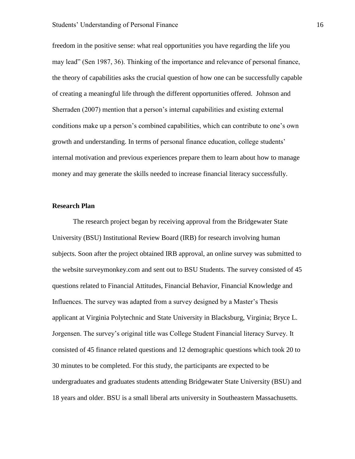freedom in the positive sense: what real opportunities you have regarding the life you may lead" (Sen 1987, 36). Thinking of the importance and relevance of personal finance, the theory of capabilities asks the crucial question of how one can be successfully capable of creating a meaningful life through the different opportunities offered. Johnson and Sherraden (2007) mention that a person's internal capabilities and existing external conditions make up a person's combined capabilities, which can contribute to one's own growth and understanding. In terms of personal finance education, college students' internal motivation and previous experiences prepare them to learn about how to manage money and may generate the skills needed to increase financial literacy successfully.

## **Research Plan**

The research project began by receiving approval from the Bridgewater State University (BSU) Institutional Review Board (IRB) for research involving human subjects. Soon after the project obtained IRB approval, an online survey was submitted to the website surveymonkey.com and sent out to BSU Students. The survey consisted of 45 questions related to Financial Attitudes, Financial Behavior, Financial Knowledge and Influences. The survey was adapted from a survey designed by a Master's Thesis applicant at Virginia Polytechnic and State University in Blacksburg, Virginia; Bryce L. Jorgensen. The survey's original title was College Student Financial literacy Survey. It consisted of 45 finance related questions and 12 demographic questions which took 20 to 30 minutes to be completed. For this study, the participants are expected to be undergraduates and graduates students attending Bridgewater State University (BSU) and 18 years and older. BSU is a small liberal arts university in Southeastern Massachusetts.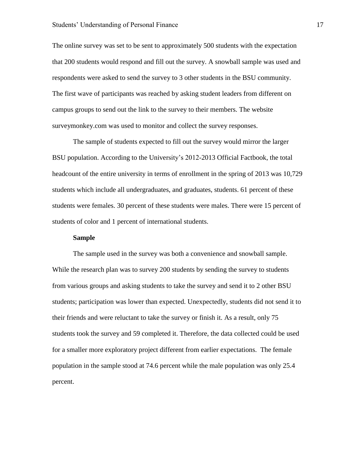The online survey was set to be sent to approximately 500 students with the expectation that 200 students would respond and fill out the survey. A snowball sample was used and respondents were asked to send the survey to 3 other students in the BSU community. The first wave of participants was reached by asking student leaders from different on campus groups to send out the link to the survey to their members. The website surveymonkey.com was used to monitor and collect the survey responses.

The sample of students expected to fill out the survey would mirror the larger BSU population. According to the University's 2012-2013 Official Factbook, the total headcount of the entire university in terms of enrollment in the spring of 2013 was 10,729 students which include all undergraduates, and graduates, students. 61 percent of these students were females. 30 percent of these students were males. There were 15 percent of students of color and 1 percent of international students.

## **Sample**

The sample used in the survey was both a convenience and snowball sample. While the research plan was to survey 200 students by sending the survey to students from various groups and asking students to take the survey and send it to 2 other BSU students; participation was lower than expected. Unexpectedly, students did not send it to their friends and were reluctant to take the survey or finish it. As a result, only 75 students took the survey and 59 completed it. Therefore, the data collected could be used for a smaller more exploratory project different from earlier expectations. The female population in the sample stood at 74.6 percent while the male population was only 25.4 percent.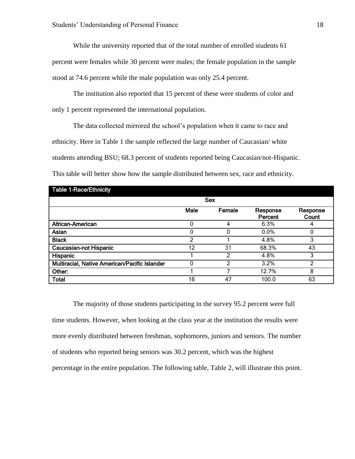While the university reported that of the total number of enrolled students 61

percent were females while 30 percent were males; the female population in the sample stood at 74.6 percent while the male population was only 25.4 percent.

The institution also reported that 15 percent of these were students of color and only 1 percent represented the international population.

The data collected mirrored the school's population when it came to race and ethnicity. Here in Table 1 the sample reflected the large number of Caucasian/ white students attending BSU; 68.3 percent of students reported being Caucasian/not-Hispanic. This table will better show how the sample distributed between sex, race and ethnicity.

| Table 1-Race/Ethnicity                        |            |        |                     |                   |  |
|-----------------------------------------------|------------|--------|---------------------|-------------------|--|
|                                               | <b>Sex</b> |        |                     |                   |  |
|                                               | Male       | Female | Response<br>Percent | Response<br>Count |  |
| African-American                              | ი          |        | 6.3%                |                   |  |
| Asian                                         | ი          | O      | 0.0%                |                   |  |
| <b>Black</b>                                  | っ          |        | 4.8%                | 3                 |  |
| <b>Caucasian-not Hispanic</b>                 | 12         | 31     | 68.3%               | 43                |  |
| Hispanic                                      |            | າ      | 4.8%                | 3                 |  |
| Multiracial, Native American/Pacific Islander | ი          | 2      | 3.2%                | າ                 |  |
| Other:                                        |            |        | 12.7%               | 8                 |  |
| <b>Total</b>                                  | 16         | 47     | 100.0               | 63                |  |

The majority of those students participating in the survey 95.2 percent were full time students. However, when looking at the class year at the institution the results were more evenly distributed between freshman, sophomores, juniors and seniors. The number of students who reported being seniors was 30.2 percent, which was the highest percentage in the entire population. The following table, Table 2, will illustrate this point.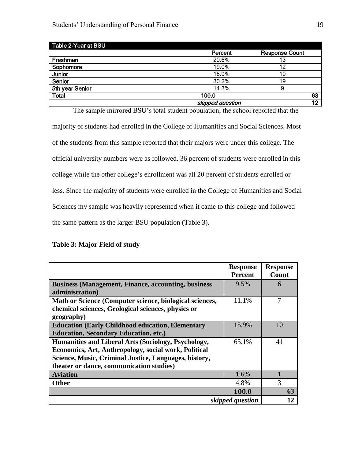| Table 2-Year at BSU |                  |                       |
|---------------------|------------------|-----------------------|
|                     | Percent          | <b>Response Count</b> |
| Freshman            | 20.6%            | 13                    |
| Sophomore           | 19.0%            | 12                    |
| Junior              | 15.9%            | 10                    |
| Senior              | 30.2%            | 19                    |
| 5th year Senior     | 14.3%            | 9                     |
| <b>Total</b>        | 100.0            | 63                    |
|                     | skipped question | 12                    |

The sample mirrored BSU's total student population; the school reported that the majority of students had enrolled in the College of Humanities and Social Sciences. Most of the students from this sample reported that their majors were under this college. The official university numbers were as followed. 36 percent of students were enrolled in this college while the other college's enrollment was all 20 percent of students enrolled or less. Since the majority of students were enrolled in the College of Humanities and Social Sciences my sample was heavily represented when it came to this college and followed the same pattern as the larger BSU population (Table 3).

## **Table 3: Major Field of study**

|                                                            | <b>Response</b><br><b>Percent</b> | <b>Response</b><br>Count |
|------------------------------------------------------------|-----------------------------------|--------------------------|
| <b>Business (Management, Finance, accounting, business</b> | 9.5%                              | 6                        |
| administration)                                            |                                   |                          |
| Math or Science (Computer science, biological sciences,    | 11.1%                             |                          |
| chemical sciences, Geological sciences, physics or         |                                   |                          |
| geography)                                                 |                                   |                          |
| <b>Education (Early Childhood education, Elementary</b>    | 15.9%                             | 10                       |
| <b>Education, Secondary Education, etc.)</b>               |                                   |                          |
| Humanities and Liberal Arts (Sociology, Psychology,        | 65.1%                             | 41                       |
| Economics, Art, Anthropology, social work, Political       |                                   |                          |
| Science, Music, Criminal Justice, Languages, history,      |                                   |                          |
| theater or dance, communication studies)                   |                                   |                          |
| <b>Aviation</b>                                            | 1.6%                              |                          |
| <b>Other</b>                                               | 4.8%                              |                          |
|                                                            | 100.0                             | 63                       |
| skipped question                                           |                                   |                          |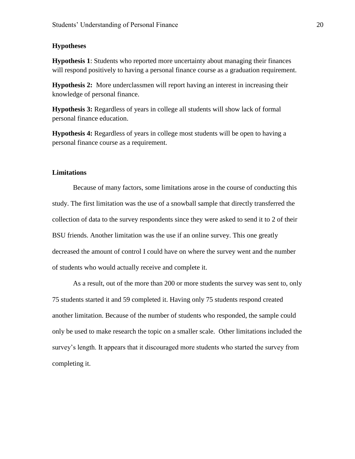## **Hypotheses**

**Hypothesis 1**: Students who reported more uncertainty about managing their finances will respond positively to having a personal finance course as a graduation requirement.

**Hypothesis 2:** More underclassmen will report having an interest in increasing their knowledge of personal finance.

**Hypothesis 3:** Regardless of years in college all students will show lack of formal personal finance education.

**Hypothesis 4:** Regardless of years in college most students will be open to having a personal finance course as a requirement.

## **Limitations**

Because of many factors, some limitations arose in the course of conducting this study. The first limitation was the use of a snowball sample that directly transferred the collection of data to the survey respondents since they were asked to send it to 2 of their BSU friends. Another limitation was the use if an online survey. This one greatly decreased the amount of control I could have on where the survey went and the number of students who would actually receive and complete it.

As a result, out of the more than 200 or more students the survey was sent to, only 75 students started it and 59 completed it. Having only 75 students respond created another limitation. Because of the number of students who responded, the sample could only be used to make research the topic on a smaller scale. Other limitations included the survey's length. It appears that it discouraged more students who started the survey from completing it.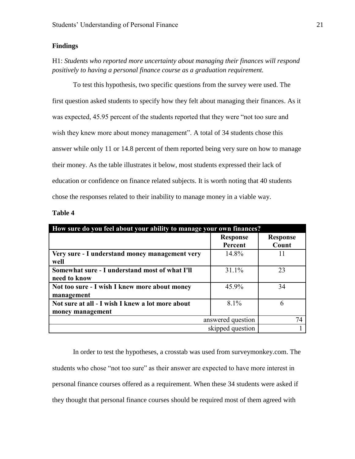## **Findings**

H1: *Students who reported more uncertainty about managing their finances will respond positively to having a personal finance course as a graduation requirement.*

To test this hypothesis, two specific questions from the survey were used. The first question asked students to specify how they felt about managing their finances. As it was expected, 45.95 percent of the students reported that they were "not too sure and wish they knew more about money management". A total of 34 students chose this answer while only 11 or 14.8 percent of them reported being very sure on how to manage their money. As the table illustrates it below, most students expressed their lack of education or confidence on finance related subjects. It is worth noting that 40 students chose the responses related to their inability to manage money in a viable way.

| m<br>I<br>т . |  |
|---------------|--|
|---------------|--|

| How sure do you feel about your ability to manage your own finances? |         |  |  |  |
|----------------------------------------------------------------------|---------|--|--|--|
| <b>Response</b>                                                      |         |  |  |  |
|                                                                      | Count   |  |  |  |
| 14.8%                                                                | 11      |  |  |  |
|                                                                      |         |  |  |  |
| 31.1%                                                                | 23      |  |  |  |
|                                                                      |         |  |  |  |
| 45.9%                                                                | 34      |  |  |  |
|                                                                      |         |  |  |  |
| $8.1\%$                                                              | 6       |  |  |  |
|                                                                      |         |  |  |  |
| answered question                                                    | 74      |  |  |  |
| skipped question                                                     |         |  |  |  |
|                                                                      | Percent |  |  |  |

In order to test the hypotheses, a crosstab was used from surveymonkey.com. The students who chose "not too sure" as their answer are expected to have more interest in personal finance courses offered as a requirement. When these 34 students were asked if they thought that personal finance courses should be required most of them agreed with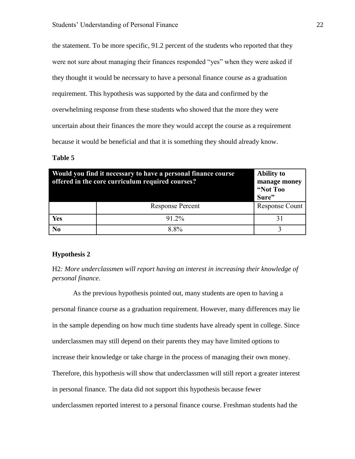the statement. To be more specific, 91.2 percent of the students who reported that they were not sure about managing their finances responded "yes" when they were asked if they thought it would be necessary to have a personal finance course as a graduation requirement. This hypothesis was supported by the data and confirmed by the overwhelming response from these students who showed that the more they were uncertain about their finances the more they would accept the course as a requirement because it would be beneficial and that it is something they should already know.

## **Table 5**

| Would you find it necessary to have a personal finance course<br>offered in the core curriculum required courses? | <b>Ability to</b><br>manage money<br>"Not Too<br>Sure" |                |
|-------------------------------------------------------------------------------------------------------------------|--------------------------------------------------------|----------------|
|                                                                                                                   | <b>Response Percent</b>                                | Response Count |
| Yes                                                                                                               | 91.2%                                                  |                |
| N <sub>0</sub>                                                                                                    | 8.8%                                                   |                |

## **Hypothesis 2**

H2*: More underclassmen will report having an interest in increasing their knowledge of personal finance*.

As the previous hypothesis pointed out, many students are open to having a personal finance course as a graduation requirement. However, many differences may lie in the sample depending on how much time students have already spent in college. Since underclassmen may still depend on their parents they may have limited options to increase their knowledge or take charge in the process of managing their own money. Therefore, this hypothesis will show that underclassmen will still report a greater interest in personal finance. The data did not support this hypothesis because fewer underclassmen reported interest to a personal finance course. Freshman students had the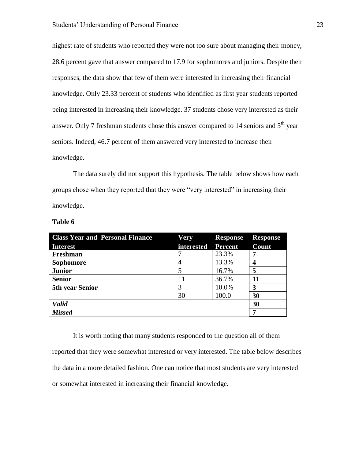highest rate of students who reported they were not too sure about managing their money, 28.6 percent gave that answer compared to 17.9 for sophomores and juniors. Despite their responses, the data show that few of them were interested in increasing their financial knowledge. Only 23.33 percent of students who identified as first year students reported being interested in increasing their knowledge. 37 students chose very interested as their answer. Only 7 freshman students chose this answer compared to 14 seniors and  $5<sup>th</sup>$  year seniors. Indeed, 46.7 percent of them answered very interested to increase their knowledge.

The data surely did not support this hypothesis. The table below shows how each groups chose when they reported that they were "very interested" in increasing their knowledge.

| <b>Class Year and Personal Finance</b> | Very       | <b>Response</b> | <b>Response</b> |
|----------------------------------------|------------|-----------------|-----------------|
| <b>Interest</b>                        | interested | <b>Percent</b>  | Count           |
| Freshman                               |            | 23.3%           |                 |
| <b>Sophomore</b>                       |            | 13.3%           |                 |
| <b>Junior</b>                          |            | 16.7%           | 5               |
| <b>Senior</b>                          | 11         | 36.7%           | 11              |
| <b>5th year Senior</b>                 |            | 10.0%           | 3               |
|                                        | 30         | 100.0           | 30              |
| <b>Valid</b>                           |            |                 | 30              |
| <b>Missed</b>                          |            |                 | 7               |

**Table 6**

It is worth noting that many students responded to the question all of them reported that they were somewhat interested or very interested. The table below describes the data in a more detailed fashion. One can notice that most students are very interested or somewhat interested in increasing their financial knowledge.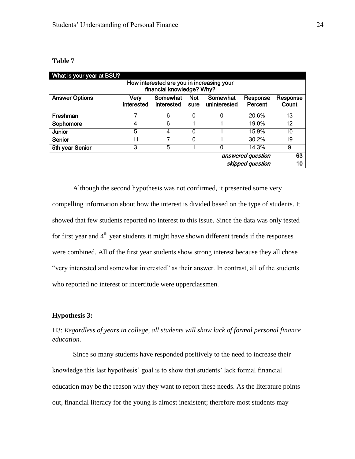## **Table 7**

| What is your year at BSU?                                              |                    |                        |                    |                          |                     |                   |
|------------------------------------------------------------------------|--------------------|------------------------|--------------------|--------------------------|---------------------|-------------------|
| How interested are you in increasing your<br>financial knowledge? Why? |                    |                        |                    |                          |                     |                   |
| <b>Answer Options</b>                                                  | Verv<br>interested | Somewhat<br>interested | <b>Not</b><br>sure | Somewhat<br>uninterested | Response<br>Percent | Response<br>Count |
| Freshman                                                               |                    | 6                      | 0                  | 0                        | 20.6%               | 13                |
| Sophomore                                                              |                    | 6                      |                    |                          | 19.0%               | 12                |
| <b>Junior</b>                                                          | 5                  | 4                      | 0                  |                          | 15.9%               | 10                |
| Senior                                                                 | 11                 | 7                      | 0                  |                          | 30.2%               | 19                |
| 5th year Senior                                                        | 3                  | 5                      |                    | 0                        | 14.3%               | 9                 |
| answered question                                                      |                    |                        |                    |                          | 63                  |                   |
| skipped question                                                       |                    |                        |                    |                          | 10                  |                   |

Although the second hypothesis was not confirmed, it presented some very compelling information about how the interest is divided based on the type of students. It showed that few students reported no interest to this issue. Since the data was only tested for first year and  $4<sup>th</sup>$  year students it might have shown different trends if the responses were combined. All of the first year students show strong interest because they all chose "very interested and somewhat interested" as their answer. In contrast, all of the students who reported no interest or incertitude were upperclassmen.

## **Hypothesis 3:**

## H3: *Regardless of years in college, all students will show lack of formal personal finance education.*

Since so many students have responded positively to the need to increase their knowledge this last hypothesis' goal is to show that students' lack formal financial education may be the reason why they want to report these needs. As the literature points out, financial literacy for the young is almost inexistent; therefore most students may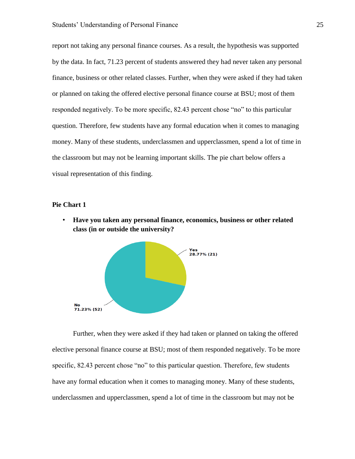report not taking any personal finance courses. As a result, the hypothesis was supported by the data. In fact, 71.23 percent of students answered they had never taken any personal finance, business or other related classes. Further, when they were asked if they had taken or planned on taking the offered elective personal finance course at BSU; most of them responded negatively. To be more specific, 82.43 percent chose "no" to this particular question. Therefore, few students have any formal education when it comes to managing money. Many of these students, underclassmen and upperclassmen, spend a lot of time in the classroom but may not be learning important skills. The pie chart below offers a visual representation of this finding.

## **Pie Chart 1**

• **Have you taken any personal finance, economics, business or other related class (in or outside the university?**



Further, when they were asked if they had taken or planned on taking the offered elective personal finance course at BSU; most of them responded negatively. To be more specific, 82.43 percent chose "no" to this particular question. Therefore, few students have any formal education when it comes to managing money. Many of these students, underclassmen and upperclassmen, spend a lot of time in the classroom but may not be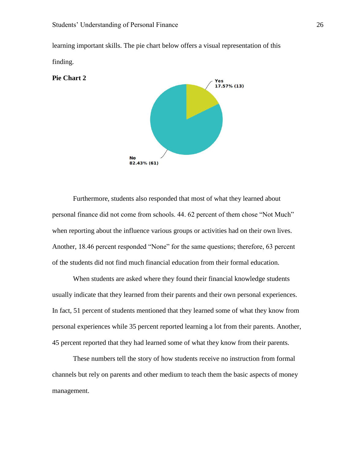learning important skills. The pie chart below offers a visual representation of this finding.



Furthermore, students also responded that most of what they learned about personal finance did not come from schools. 44. 62 percent of them chose "Not Much" when reporting about the influence various groups or activities had on their own lives. Another, 18.46 percent responded "None" for the same questions; therefore, 63 percent of the students did not find much financial education from their formal education.

When students are asked where they found their financial knowledge students usually indicate that they learned from their parents and their own personal experiences. In fact, 51 percent of students mentioned that they learned some of what they know from personal experiences while 35 percent reported learning a lot from their parents. Another, 45 percent reported that they had learned some of what they know from their parents.

These numbers tell the story of how students receive no instruction from formal channels but rely on parents and other medium to teach them the basic aspects of money management.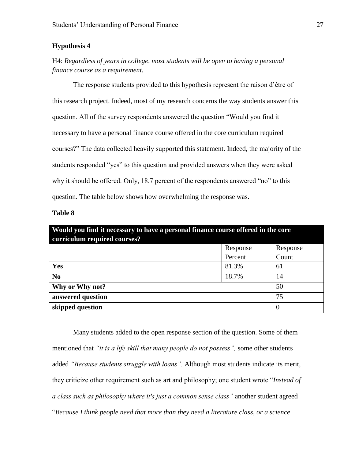## **Hypothesis 4**

H4: *Regardless of years in college, most students will be open to having a personal finance course as a requirement.*

The response students provided to this hypothesis represent the raison d'être of this research project. Indeed, most of my research concerns the way students answer this question. All of the survey respondents answered the question "Would you find it necessary to have a personal finance course offered in the core curriculum required courses?" The data collected heavily supported this statement. Indeed, the majority of the students responded "yes" to this question and provided answers when they were asked why it should be offered. Only, 18.7 percent of the respondents answered "no" to this question. The table below shows how overwhelming the response was.

## **Table 8**

| Would you find it necessary to have a personal finance course offered in the core<br>curriculum required courses? |          |                |  |  |
|-------------------------------------------------------------------------------------------------------------------|----------|----------------|--|--|
|                                                                                                                   | Response | Response       |  |  |
|                                                                                                                   | Percent  | Count          |  |  |
| Yes                                                                                                               | 81.3%    | 61             |  |  |
| N <sub>0</sub>                                                                                                    | 18.7%    | 14             |  |  |
| Why or Why not?                                                                                                   |          | 50             |  |  |
| answered question                                                                                                 |          | 75             |  |  |
| skipped question                                                                                                  |          | $\overline{0}$ |  |  |

Many students added to the open response section of the question. Some of them mentioned that *"it is a life skill that many people do not possess",* some other students added *"Because students struggle with loans".* Although most students indicate its merit, they criticize other requirement such as art and philosophy; one student wrote "*Instead of a class such as philosophy where it's just a common sense class"* another student agreed "*Because I think people need that more than they need a literature class, or a science*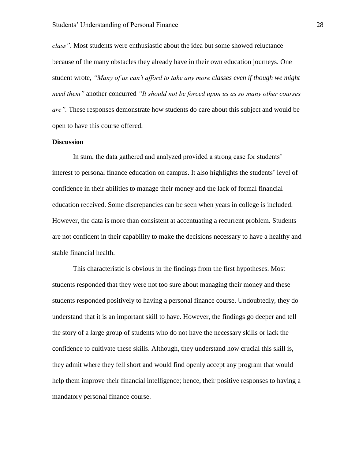*class"*. Most students were enthusiastic about the idea but some showed reluctance because of the many obstacles they already have in their own education journeys. One student wrote, *"Many of us can't afford to take any more classes even if though we might need them"* another concurred *"It should not be forced upon us as so many other courses are".* These responses demonstrate how students do care about this subject and would be open to have this course offered.

## **Discussion**

In sum, the data gathered and analyzed provided a strong case for students' interest to personal finance education on campus. It also highlights the students' level of confidence in their abilities to manage their money and the lack of formal financial education received. Some discrepancies can be seen when years in college is included. However, the data is more than consistent at accentuating a recurrent problem. Students are not confident in their capability to make the decisions necessary to have a healthy and stable financial health.

This characteristic is obvious in the findings from the first hypotheses. Most students responded that they were not too sure about managing their money and these students responded positively to having a personal finance course. Undoubtedly, they do understand that it is an important skill to have. However, the findings go deeper and tell the story of a large group of students who do not have the necessary skills or lack the confidence to cultivate these skills. Although, they understand how crucial this skill is, they admit where they fell short and would find openly accept any program that would help them improve their financial intelligence; hence, their positive responses to having a mandatory personal finance course.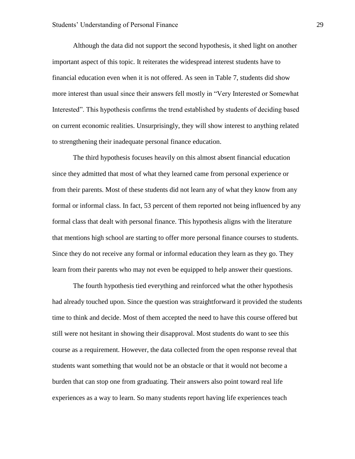Although the data did not support the second hypothesis, it shed light on another important aspect of this topic. It reiterates the widespread interest students have to financial education even when it is not offered. As seen in Table 7, students did show more interest than usual since their answers fell mostly in "Very Interested or Somewhat Interested". This hypothesis confirms the trend established by students of deciding based on current economic realities. Unsurprisingly, they will show interest to anything related to strengthening their inadequate personal finance education.

The third hypothesis focuses heavily on this almost absent financial education since they admitted that most of what they learned came from personal experience or from their parents. Most of these students did not learn any of what they know from any formal or informal class. In fact, 53 percent of them reported not being influenced by any formal class that dealt with personal finance. This hypothesis aligns with the literature that mentions high school are starting to offer more personal finance courses to students. Since they do not receive any formal or informal education they learn as they go. They learn from their parents who may not even be equipped to help answer their questions.

The fourth hypothesis tied everything and reinforced what the other hypothesis had already touched upon. Since the question was straightforward it provided the students time to think and decide. Most of them accepted the need to have this course offered but still were not hesitant in showing their disapproval. Most students do want to see this course as a requirement. However, the data collected from the open response reveal that students want something that would not be an obstacle or that it would not become a burden that can stop one from graduating. Their answers also point toward real life experiences as a way to learn. So many students report having life experiences teach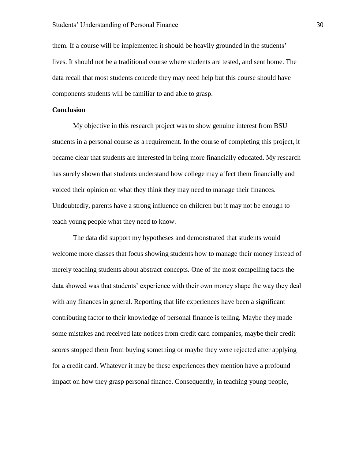them. If a course will be implemented it should be heavily grounded in the students' lives. It should not be a traditional course where students are tested, and sent home. The data recall that most students concede they may need help but this course should have components students will be familiar to and able to grasp.

## **Conclusion**

My objective in this research project was to show genuine interest from BSU students in a personal course as a requirement. In the course of completing this project, it became clear that students are interested in being more financially educated. My research has surely shown that students understand how college may affect them financially and voiced their opinion on what they think they may need to manage their finances. Undoubtedly, parents have a strong influence on children but it may not be enough to teach young people what they need to know.

The data did support my hypotheses and demonstrated that students would welcome more classes that focus showing students how to manage their money instead of merely teaching students about abstract concepts. One of the most compelling facts the data showed was that students' experience with their own money shape the way they deal with any finances in general. Reporting that life experiences have been a significant contributing factor to their knowledge of personal finance is telling. Maybe they made some mistakes and received late notices from credit card companies, maybe their credit scores stopped them from buying something or maybe they were rejected after applying for a credit card. Whatever it may be these experiences they mention have a profound impact on how they grasp personal finance. Consequently, in teaching young people,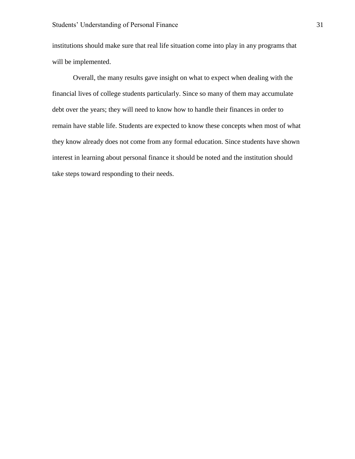institutions should make sure that real life situation come into play in any programs that will be implemented.

Overall, the many results gave insight on what to expect when dealing with the financial lives of college students particularly. Since so many of them may accumulate debt over the years; they will need to know how to handle their finances in order to remain have stable life. Students are expected to know these concepts when most of what they know already does not come from any formal education. Since students have shown interest in learning about personal finance it should be noted and the institution should take steps toward responding to their needs.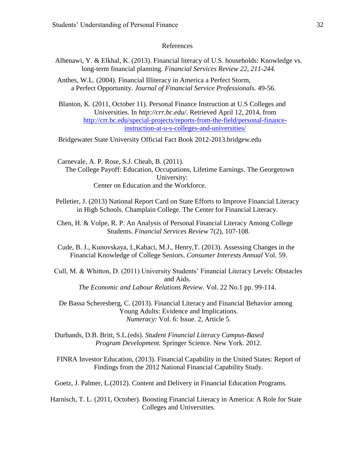## References

- Alhenawi, Y. & Elkhal, K. (2013). Financial literacy of U.S. households: Knowledge vs. long-term financial planning. *Financial Services Review 22, 211-244.*
- Anthes, W.L. (2004). Financial Illiteracy in America a Perfect Storm, a Perfect Opportunity. *Journal of Financial Service Professionals.* 49-56.
- Blanton, K. (2011, October 11). Personal Finance Instruction at U.S Colleges and Universities. In *http://crr.bc.edu/*. Retrieved April 12, 2014, from [http://crr.bc.edu/special-projects/reports-from-the-field/personal-finance](http://crr.bc.edu/special-projects/reports-from-the-field/personal-finance-instruction-at-u-s-colleges-and-universities/)[instruction-at-u-s-colleges-and-universities/](http://crr.bc.edu/special-projects/reports-from-the-field/personal-finance-instruction-at-u-s-colleges-and-universities/)

Bridgewater State University Official Fact Book 2012-2013.bridgew.edu

 Carnevale, A. P. Rose, S.J. Cheah, B. (2011). The College Payoff: Education, Occupations, Lifetime Earnings. The Georgetown University: Center on Education and the Workforce.

- Pelletier, J. (2013) National Report Card on State Efforts to Improve Financial Literacy in High Schools. Champlain College. The Center for Financial Literacy.
- Chen, H. & Volpe, R. P. An Analysis of Personal Financial Literacy Among College Students*. Financial Services Review* 7(2), 107-108.
- Cude, B. J., Kunovskaya, I.,Kabaci, M.J., Henry,T. (2013). Assessing Changes in the Financial Knowledge of College Seniors. *Consumer Interests Annual* Vol. 59.
- Cull, M. & Whitton, D. (2011) University Students' Financial Literacy Levels: Obstacles and Aids. *The Economic and Labour Relations Review.* Vol. 22 No.1 pp. 99-114.

De Bassa Scheresberg, C. (2013). Financial Literacy and Financial Behavior among Young Adults: Evidence and Implications. *Numeracy:* Vol. 6: Issue. 2, Article 5.

Durbands, D.B. Britt, S.L.(eds). *Student Financial Literacy Campus-Based Program Development.* Springer Science. New York. 2012.

FINRA Investor Education, (2013). Financial Capability in the United States: Report of Findings from the 2012 National Financial Capability Study.

Goetz, J. Palmer, L.(2012). Content and Delivery in Financial Education Programs.

Harnisch, T. L. (2011, October). Boosting Financial Literacy in America: A Role for State Colleges and Universities.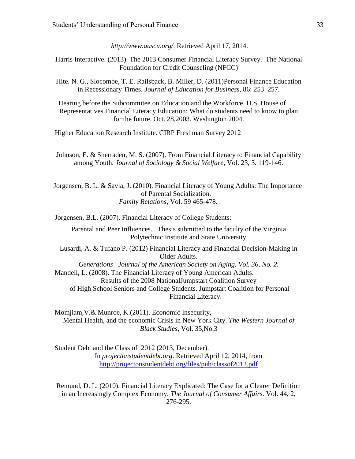*http://www.aascu.org/*. Retrieved April 17, 2014.

- Harris Interactive. (2013). The 2013 Consumer Financial Literacy Survey. The National Foundation for Credit Counseling (NFCC)
- Hite. N. G., Slocombe, T. E. Railsback, B. Miller, D. (2011)Personal Finance Education in Recessionary Times. *Journal of Education for Business*, 86: 253–257.

Hearing before the Subcommitee on Education and the Workforce. U.S. House of Representatives.Financial Literacy Education: What do students need to know to plan for the future. Oct. 28,2003. Washington 2004.

Higher Education Research Institute. CIRP Freshman Survey 2012

Johnson, E. & Sherraden, M. S. (2007). From Financial Literacy to Financial Capability among Youth. *Journal of Sociology & Social Welfare*, Vol. 23, 3. 119-146.

 Jorgensen, B. L. & Savla, J. (2010). Financial Literacy of Young Adults: The Importance of Parental Socialization. *Family Relations,* Vol. 59 465-478.

Jorgensen, B.L. (2007). Financial Literacy of College Students:

Parental and Peer Influences. Thesis submitted to the faculty of the Virginia Polytechnic Institute and State University.

Lusardi, A. & Tufano P. (2012) Financial Literacy and Financial Decision-Making in Older Adults.

*Generations –Journal of the American Society on Aging. Vol. 36, No. 2.* Mandell, L. (2008). The Financial Literacy of Young American Adults. Results of the 2008 NationalJumpstart Coalition Survey of High School Seniors and College Students. Jumpstart Coalition for Personal Financial Literacy.

Momjiam,V.& Munroe, K.(2011). Economic Insecurity, Mental Health, and the economic Crisis in New York City. *The Western Journal of Black Studies,* Vol. 35,No.3

Student Debt and the Class of 2012 (2013, December). In *projectonstudentdebt.org*. Retrieved April 12, 2014, from <http://projectonstudentdebt.org/files/pub/classof2012.pdf>

Remund, D. L. (2010). Financial Literacy Explicated: The Case for a Clearer Definition in an Increasingly Complex Economy. *The Journal of Consumer Affairs.* Vol. 44, 2, 276-295.